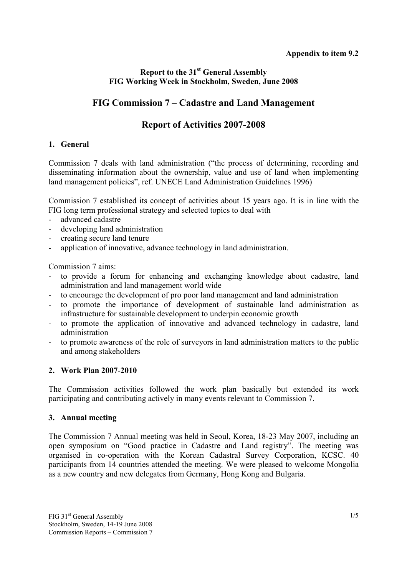### **Report to the 31st General Assembly FIG Working Week in Stockholm, Sweden, June 2008**

# **FIG Commission 7 – Cadastre and Land Management**

# **Report of Activities 2007-2008**

### **1. General**

Commission 7 deals with land administration ("the process of determining, recording and disseminating information about the ownership, value and use of land when implementing land management policies", ref. UNECE Land Administration Guidelines 1996)

Commission 7 established its concept of activities about 15 years ago. It is in line with the FIG long term professional strategy and selected topics to deal with

- advanced cadastre
- developing land administration
- creating secure land tenure
- application of innovative, advance technology in land administration.

Commission 7 aims:

- to provide a forum for enhancing and exchanging knowledge about cadastre, land administration and land management world wide
- to encourage the development of pro poor land management and land administration
- to promote the importance of development of sustainable land administration as infrastructure for sustainable development to underpin economic growth
- to promote the application of innovative and advanced technology in cadastre, land administration
- to promote awareness of the role of surveyors in land administration matters to the public and among stakeholders

### **2. Work Plan 2007-2010**

The Commission activities followed the work plan basically but extended its work participating and contributing actively in many events relevant to Commission 7.

### **3. Annual meeting**

The Commission 7 Annual meeting was held in Seoul, Korea, 18-23 May 2007, including an open symposium on "Good practice in Cadastre and Land registry". The meeting was organised in co-operation with the Korean Cadastral Survey Corporation, KCSC. 40 participants from 14 countries attended the meeting. We were pleased to welcome Mongolia as a new country and new delegates from Germany, Hong Kong and Bulgaria.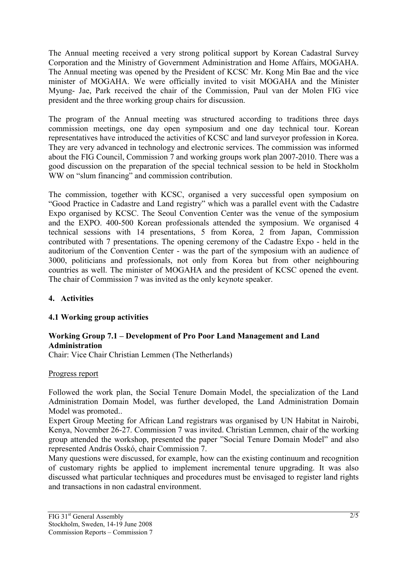The Annual meeting received a very strong political support by Korean Cadastral Survey Corporation and the Ministry of Government Administration and Home Affairs, MOGAHA. The Annual meeting was opened by the President of KCSC Mr. Kong Min Bae and the vice minister of MOGAHA. We were officially invited to visit MOGAHA and the Minister Myung- Jae, Park received the chair of the Commission, Paul van der Molen FIG vice president and the three working group chairs for discussion.

The program of the Annual meeting was structured according to traditions three days commission meetings, one day open symposium and one day technical tour. Korean representatives have introduced the activities of KCSC and land surveyor profession in Korea. They are very advanced in technology and electronic services. The commission was informed about the FIG Council, Commission 7 and working groups work plan 2007-2010. There was a good discussion on the preparation of the special technical session to be held in Stockholm WW on "slum financing" and commission contribution.

The commission, together with KCSC, organised a very successful open symposium on "Good Practice in Cadastre and Land registry" which was a parallel event with the Cadastre Expo organised by KCSC. The Seoul Convention Center was the venue of the symposium and the EXPO. 400-500 Korean professionals attended the symposium. We organised 4 technical sessions with 14 presentations, 5 from Korea, 2 from Japan, Commission contributed with 7 presentations. The opening ceremony of the Cadastre Expo - held in the auditorium of the Convention Center - was the part of the symposium with an audience of 3000, politicians and professionals, not only from Korea but from other neighbouring countries as well. The minister of MOGAHA and the president of KCSC opened the event. The chair of Commission 7 was invited as the only keynote speaker.

### **4. Activities**

### **4.1 Working group activities**

### **Working Group 7.1 – Development of Pro Poor Land Management and Land Administration**

Chair: Vice Chair Christian Lemmen (The Netherlands)

#### Progress report

Followed the work plan, the Social Tenure Domain Model, the specialization of the Land Administration Domain Model, was further developed, the Land Administration Domain Model was promoted..

Expert Group Meeting for African Land registrars was organised by UN Habitat in Nairobi, Kenya, November 26-27. Commission 7 was invited. Christian Lemmen, chair of the working group attended the workshop, presented the paper "Social Tenure Domain Model" and also represented András Osskó, chair Commission 7.

Many questions were discussed, for example, how can the existing continuum and recognition of customary rights be applied to implement incremental tenure upgrading. It was also discussed what particular techniques and procedures must be envisaged to register land rights and transactions in non cadastral environment.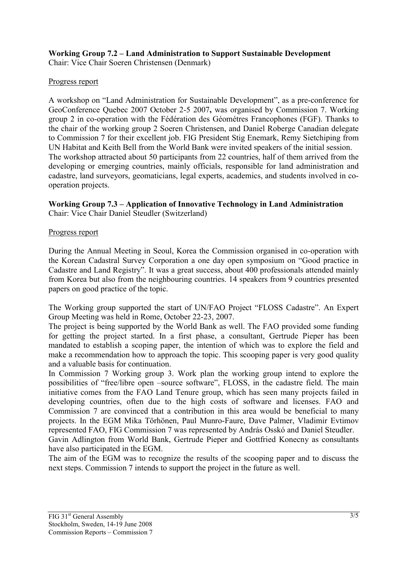# **Working Group 7.2 – Land Administration to Support Sustainable Development**

Chair: Vice Chair Soeren Christensen (Denmark)

### Progress report

A workshop on "Land Administration for Sustainable Development", as a pre-conference for GeoConference Quebec 2007 October 2-5 2007**,** was organised by Commission 7. Working group 2 in co-operation with the Fédération des Géométres Francophones (FGF). Thanks to the chair of the working group 2 Soeren Christensen, and Daniel Roberge Canadian delegate to Commission 7 for their excellent job. FIG President Stig Enemark, Remy Sietchiping from UN Habitat and Keith Bell from the World Bank were invited speakers of the initial session. The workshop attracted about 50 participants from 22 countries, half of them arrived from the developing or emerging countries, mainly officials, responsible for land administration and cadastre, land surveyors, geomaticians, legal experts, academics, and students involved in cooperation projects.

# **Working Group 7.3 – Application of Innovative Technology in Land Administration**

Chair: Vice Chair Daniel Steudler (Switzerland)

### Progress report

During the Annual Meeting in Seoul, Korea the Commission organised in co-operation with the Korean Cadastral Survey Corporation a one day open symposium on "Good practice in Cadastre and Land Registry". It was a great success, about 400 professionals attended mainly from Korea but also from the neighbouring countries. 14 speakers from 9 countries presented papers on good practice of the topic.

The Working group supported the start of UN/FAO Project "FLOSS Cadastre". An Expert Group Meeting was held in Rome, October 22-23, 2007.

The project is being supported by the World Bank as well. The FAO provided some funding for getting the project started. In a first phase, a consultant, Gertrude Pieper has been mandated to establish a scoping paper, the intention of which was to explore the field and make a recommendation how to approach the topic. This scooping paper is very good quality and a valuable basis for continuation.

In Commission 7 Working group 3. Work plan the working group intend to explore the possibilities of "free/libre open –source software", FLOSS, in the cadastre field. The main initiative comes from the FAO Land Tenure group, which has seen many projects failed in developing countries, often due to the high costs of software and licenses. FAO and Commission 7 are convinced that a contribution in this area would be beneficial to many projects. In the EGM Mika Törhönen, Paul Munro-Faure, Dave Palmer, Vladimir Evtimov represented FAO, FIG Commission 7 was represented by András Osskó and Daniel Steudler. Gavin Adlington from World Bank, Gertrude Pieper and Gottfried Konecny as consultants

have also participated in the EGM.

The aim of the EGM was to recognize the results of the scooping paper and to discuss the next steps. Commission 7 intends to support the project in the future as well.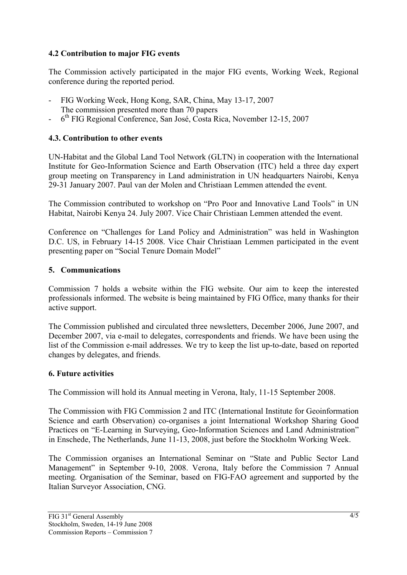### **4.2 Contribution to major FIG events**

The Commission actively participated in the major FIG events, Working Week, Regional conference during the reported period.

- FIG Working Week, Hong Kong, SAR, China, May 13-17, 2007 The commission presented more than 70 papers
- 6<sup>th</sup> FIG Regional Conference, San José, Costa Rica, November 12-15, 2007

### **4.3. Contribution to other events**

UN-Habitat and the Global Land Tool Network (GLTN) in cooperation with the International Institute for Geo-Information Science and Earth Observation (ITC) held a three day expert group meeting on Transparency in Land administration in UN headquarters Nairobi, Kenya 29-31 January 2007. Paul van der Molen and Christiaan Lemmen attended the event.

The Commission contributed to workshop on "Pro Poor and Innovative Land Tools" in UN Habitat, Nairobi Kenya 24. July 2007. Vice Chair Christiaan Lemmen attended the event.

Conference on "Challenges for Land Policy and Administration" was held in Washington D.C. US, in February 14-15 2008. Vice Chair Christiaan Lemmen participated in the event presenting paper on "Social Tenure Domain Model"

### **5. Communications**

Commission 7 holds a website within the FIG website. Our aim to keep the interested professionals informed. The website is being maintained by FIG Office, many thanks for their active support.

The Commission published and circulated three newsletters, December 2006, June 2007, and December 2007, via e-mail to delegates, correspondents and friends. We have been using the list of the Commission e-mail addresses. We try to keep the list up-to-date, based on reported changes by delegates, and friends.

### **6. Future activities**

The Commission will hold its Annual meeting in Verona, Italy, 11-15 September 2008.

The Commission with FIG Commission 2 and ITC (International Institute for Geoinformation Science and earth Observation) co-organises a joint International Workshop Sharing Good Practices on "E-Learning in Surveying, Geo-Information Sciences and Land Administration" in Enschede, The Netherlands, June 11-13, 2008, just before the Stockholm Working Week.

The Commission organises an International Seminar on "State and Public Sector Land Management" in September 9-10, 2008. Verona, Italy before the Commission 7 Annual meeting. Organisation of the Seminar, based on FIG-FAO agreement and supported by the Italian Surveyor Association, CNG.